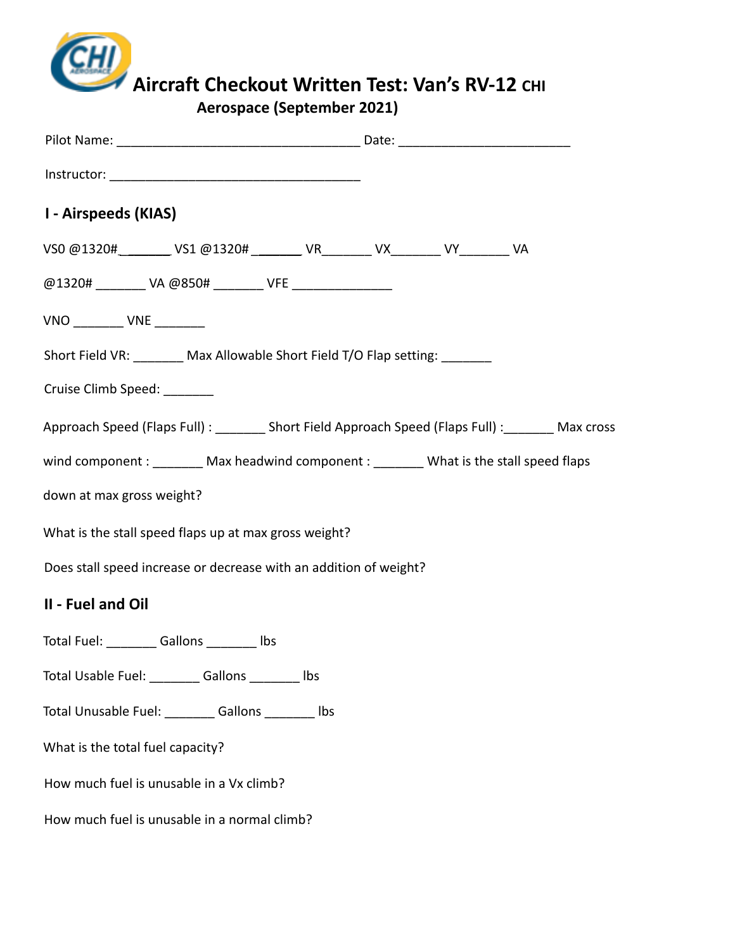

# **Aircraft Checkout Written Test: Van's RV-12 CHI**

**Aerospace (September 2021)**

| I - Airspeeds (KIAS)                                                                               |  |  |  |
|----------------------------------------------------------------------------------------------------|--|--|--|
| VS0 @1320#________ VS1 @1320# _______ VR_______ VX_______ VY_______ VA                             |  |  |  |
| @1320# ________ VA @850# _______ VFE _________________                                             |  |  |  |
| $VNO$ _________ $VNE$ ________                                                                     |  |  |  |
| Short Field VR: ________ Max Allowable Short Field T/O Flap setting: _______                       |  |  |  |
| Cruise Climb Speed: _______                                                                        |  |  |  |
| Approach Speed (Flaps Full) : ________ Short Field Approach Speed (Flaps Full) : _______ Max cross |  |  |  |
| wind component : _________ Max headwind component : _________ What is the stall speed flaps        |  |  |  |
| down at max gross weight?                                                                          |  |  |  |
| What is the stall speed flaps up at max gross weight?                                              |  |  |  |
| Does stall speed increase or decrease with an addition of weight?                                  |  |  |  |
| II - Fuel and Oil                                                                                  |  |  |  |
| Total Fuel: __________ Gallons _________ Ibs                                                       |  |  |  |
| Total Usable Fuel: _________ Gallons ________ Ibs                                                  |  |  |  |
| Total Unusable Fuel: _________ Gallons ________ lbs                                                |  |  |  |
| What is the total fuel capacity?                                                                   |  |  |  |
| How much fuel is unusable in a Vx climb?                                                           |  |  |  |
| How much fuel is unusable in a normal climb?                                                       |  |  |  |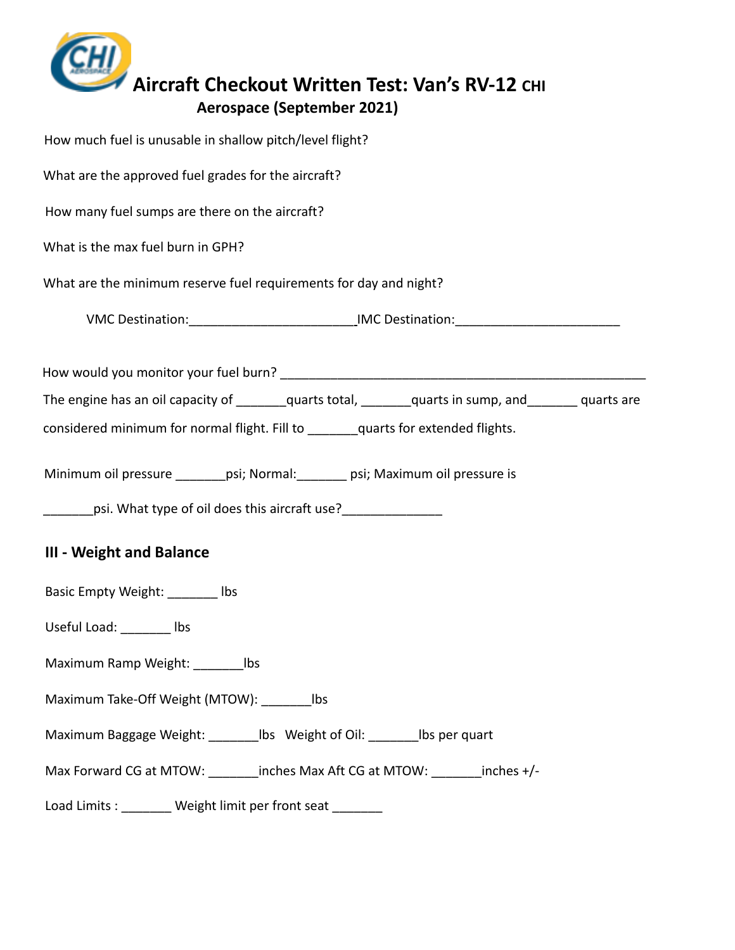

| How much fuel is unusable in shallow pitch/level flight?                                               |
|--------------------------------------------------------------------------------------------------------|
| What are the approved fuel grades for the aircraft?                                                    |
| How many fuel sumps are there on the aircraft?                                                         |
| What is the max fuel burn in GPH?                                                                      |
| What are the minimum reserve fuel requirements for day and night?                                      |
| VMC Destination: ___________________________________IMC Destination: ______________________________    |
|                                                                                                        |
| The engine has an oil capacity of ________quarts total, _______quarts in sump, and ________ quarts are |
| considered minimum for normal flight. Fill to ______quarts for extended flights.                       |
| Minimum oil pressure _______ psi; Normal: ______ psi; Maximum oil pressure is                          |
| ________psi. What type of oil does this aircraft use?_________________                                 |
| <b>III - Weight and Balance</b>                                                                        |
| Basic Empty Weight: _______ lbs                                                                        |
| Useful Load: _________ lbs                                                                             |
| Maximum Ramp Weight: ____________ lbs                                                                  |
| Maximum Take-Off Weight (MTOW): ________ lbs                                                           |
| Maximum Baggage Weight: _________ lbs Weight of Oil: ________ lbs per quart                            |
| Max Forward CG at MTOW: _______inches Max Aft CG at MTOW: _______inches +/-                            |
| Load Limits : ________ Weight limit per front seat ________                                            |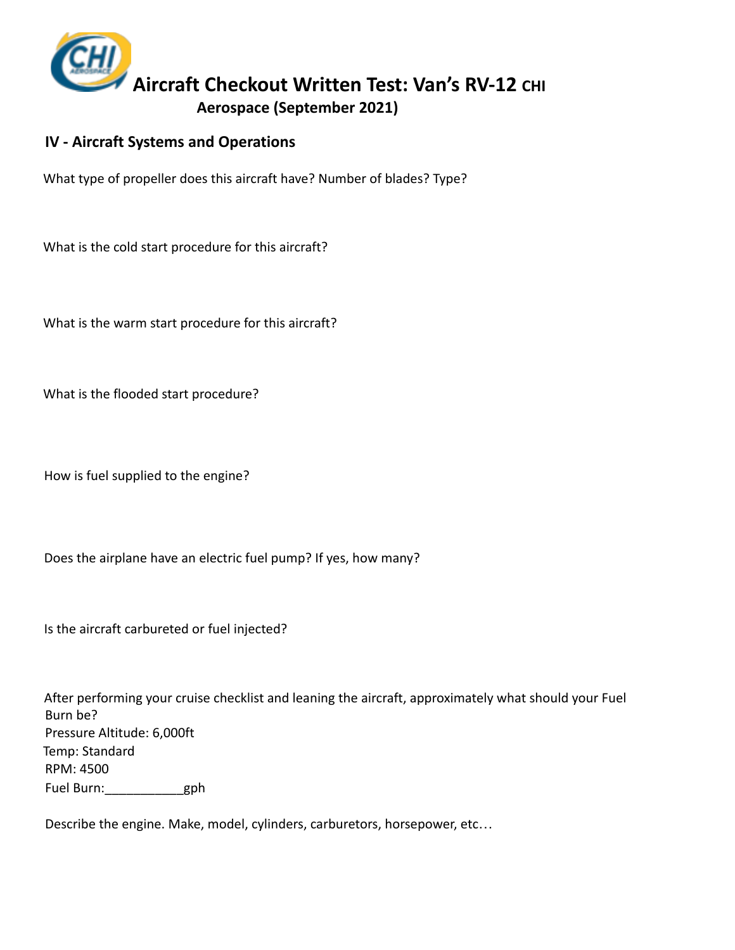

### **IV - Aircraft Systems and Operations**

What type of propeller does this aircraft have? Number of blades? Type?

What is the cold start procedure for this aircraft?

What is the warm start procedure for this aircraft?

What is the flooded start procedure?

How is fuel supplied to the engine?

Does the airplane have an electric fuel pump? If yes, how many?

Is the aircraft carbureted or fuel injected?

After performing your cruise checklist and leaning the aircraft, approximately what should your Fuel Burn be? Pressure Altitude: 6,000ft Temp: Standard RPM: 4500 Fuel Burn:\_\_\_\_\_\_\_\_\_\_\_gph

Describe the engine. Make, model, cylinders, carburetors, horsepower, etc…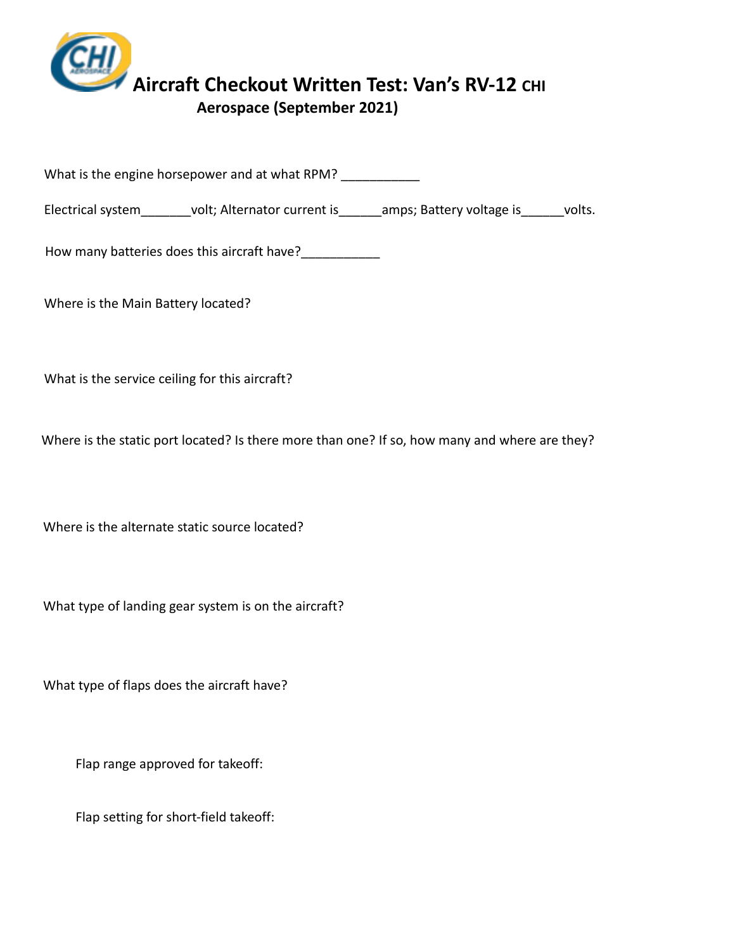

What is the engine horsepower and at what RPM?

Electrical system\_\_\_\_\_\_\_volt; Alternator current is\_\_\_\_\_\_amps; Battery voltage is\_\_\_\_\_volts.

How many batteries does this aircraft have?

Where is the Main Battery located?

What is the service ceiling for this aircraft?

Where is the static port located? Is there more than one? If so, how many and where are they?

Where is the alternate static source located?

What type of landing gear system is on the aircraft?

What type of flaps does the aircraft have?

Flap range approved for takeoff:

Flap setting for short-field takeoff: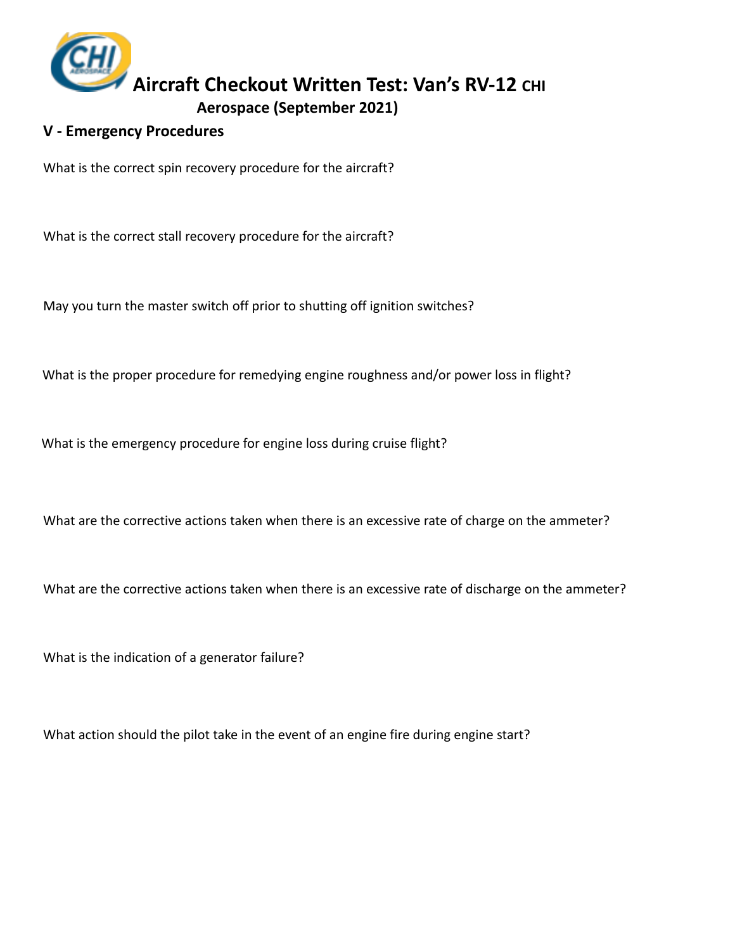

#### **V - Emergency Procedures**

What is the correct spin recovery procedure for the aircraft?

What is the correct stall recovery procedure for the aircraft?

May you turn the master switch off prior to shutting off ignition switches?

What is the proper procedure for remedying engine roughness and/or power loss in flight?

What is the emergency procedure for engine loss during cruise flight?

What are the corrective actions taken when there is an excessive rate of charge on the ammeter?

What are the corrective actions taken when there is an excessive rate of discharge on the ammeter?

What is the indication of a generator failure?

What action should the pilot take in the event of an engine fire during engine start?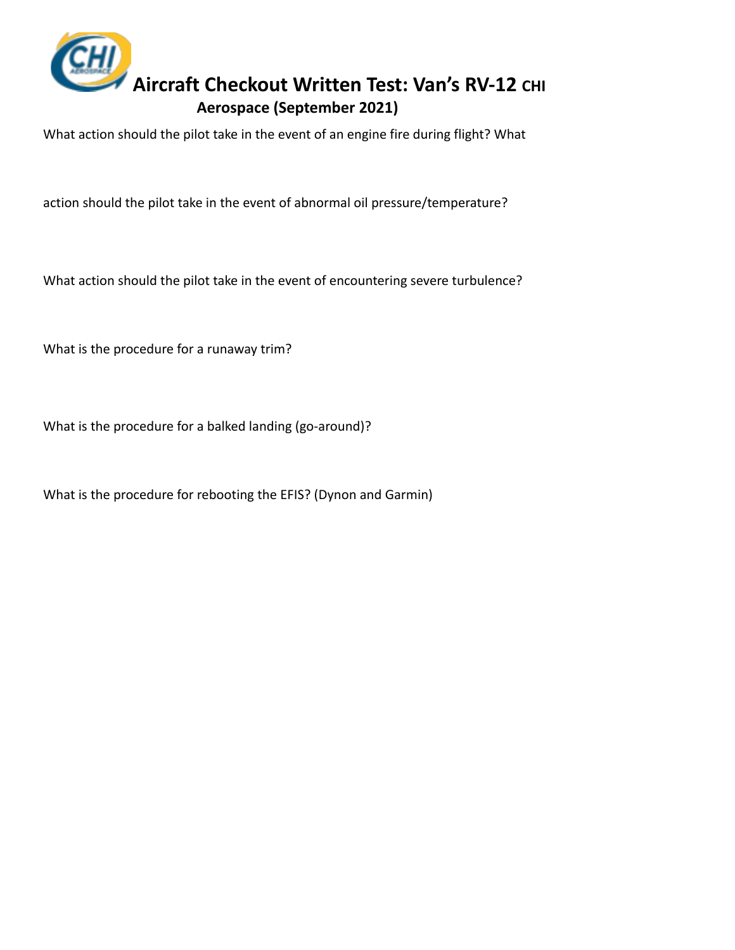

What action should the pilot take in the event of an engine fire during flight? What

action should the pilot take in the event of abnormal oil pressure/temperature?

What action should the pilot take in the event of encountering severe turbulence?

What is the procedure for a runaway trim?

What is the procedure for a balked landing (go-around)?

What is the procedure for rebooting the EFIS? (Dynon and Garmin)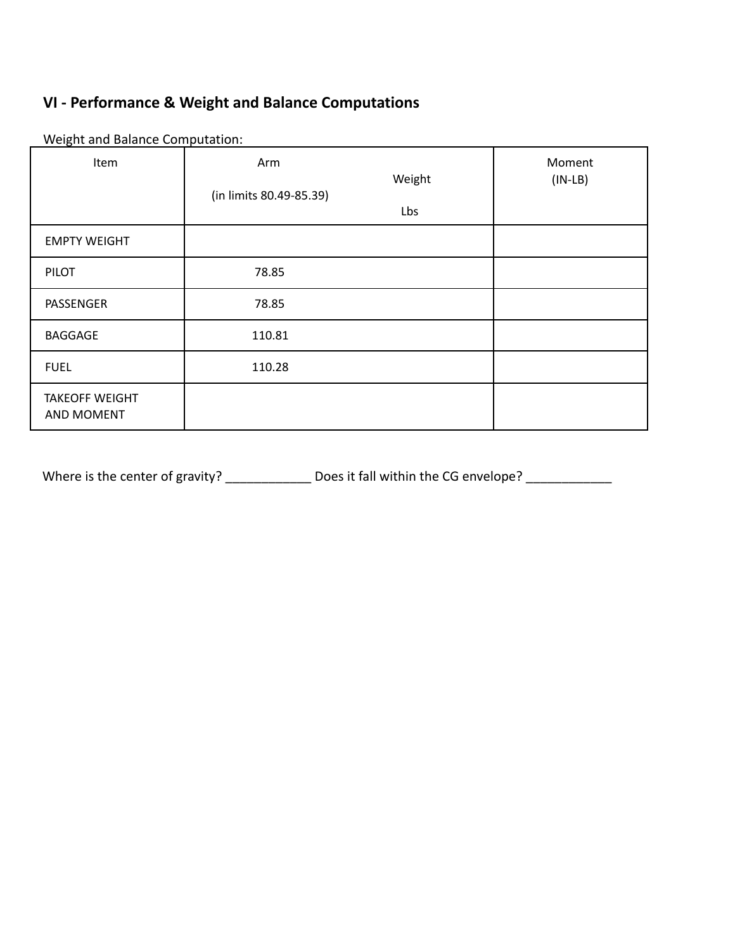## **VI - Performance & Weight and Balance Computations**

| Weight and Balance Computation: |  |
|---------------------------------|--|
|---------------------------------|--|

| Item                                       | Arm<br>(in limits 80.49-85.39) | Weight | Moment<br>$(IN-LB)$ |
|--------------------------------------------|--------------------------------|--------|---------------------|
|                                            |                                | Lbs    |                     |
| <b>EMPTY WEIGHT</b>                        |                                |        |                     |
| <b>PILOT</b>                               | 78.85                          |        |                     |
| PASSENGER                                  | 78.85                          |        |                     |
| <b>BAGGAGE</b>                             | 110.81                         |        |                     |
| <b>FUEL</b>                                | 110.28                         |        |                     |
| <b>TAKEOFF WEIGHT</b><br><b>AND MOMENT</b> |                                |        |                     |

Where is the center of gravity? \_\_\_\_\_\_\_\_\_\_\_\_\_\_\_ Does it fall within the CG envelope? \_\_\_\_\_\_\_\_\_\_\_\_\_\_